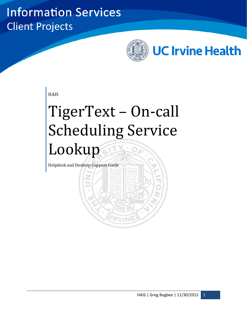## **Information Services Client Projects**



**HAIS** 

# TigerText – On-call Scheduling Service Lookup

Helpdesk and Desktop Support Guide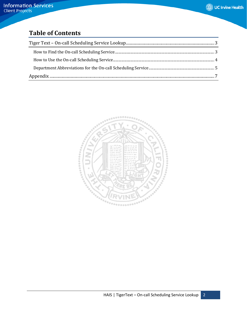## **Table of Contents**

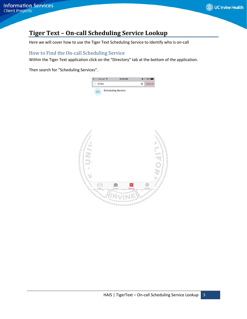### <span id="page-2-0"></span>**Tiger Text – On-call Scheduling Service Lookup**

Here we will cover how to use the Tiger Text Scheduling Service to identify who is on-call

#### <span id="page-2-1"></span>How to Find the On-call Scheduling Service

Within the Tiger Text application click on the "Directory" tab at the bottom of the application.

Then search for "Scheduling Services".

| ●○○○○ Verizon କ | 12:34 PM                  |                       | $\bullet$ * 83% |
|-----------------|---------------------------|-----------------------|-----------------|
| Sched           |                           | $\boldsymbol{\Omega}$ | Cancel          |
| SS              | <b>Scheduling Service</b> |                       |                 |

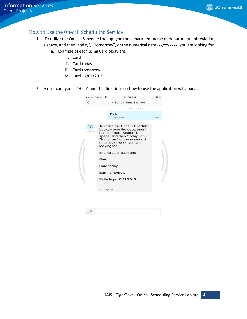#### <span id="page-3-0"></span>How to Use the On-call Scheduling Service

- 1. To utilize the On-call Schedule Lookup type the department name or department abbreviation,
	- a space, and then "today", "Tomorrow", or the numerical date (xx/xx/xxxx) you are looking for.
		- a. Example of each using Cardiology are:
			- i. Card
			- ii. Card today
			- iii. Card tomorrow
			- iv. Card 12/01/2015
- 2. A user can type in "Help" and the directions on how to use the application will appear.

| ∙∙ে⊙ Verizon  ক |                              | 12:34 PM                                                                                                                                                                                                                                                                                  | . ت         |  |
|-----------------|------------------------------|-------------------------------------------------------------------------------------------------------------------------------------------------------------------------------------------------------------------------------------------------------------------------------------------|-------------|--|
|                 |                              | • Scheduling Service                                                                                                                                                                                                                                                                      |             |  |
|                 |                              | Mon, Nov 23                                                                                                                                                                                                                                                                               |             |  |
|                 |                              | Help<br>⊠ 5 days left                                                                                                                                                                                                                                                                     | <b>Sent</b> |  |
| SS<br>12:34 PM  | Card<br>$\Sigma$ 5 days left | To utilize the Oncall Schedule<br>Lookup type the department<br>name or abbreviation, a<br>space, and then "today" or<br>"tomorrow" or the numerical<br>date (xx/xx/xxxx) you are<br>looking for.<br>Examples of each are:<br>Card today<br><b>Burn tomorrrow</b><br>Pathology 10/31/2015 |             |  |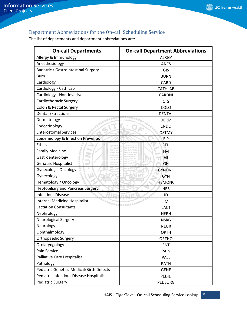#### <span id="page-4-0"></span>Department Abbreviations for the On-call Scheduling Service

The list of departments and department abbreviations are:

| <b>On-call Departments</b>                      | <b>On-call Department Abbreviations</b> |
|-------------------------------------------------|-----------------------------------------|
| Allergy & Immunology                            | <b>ALRGY</b>                            |
| Anesthesiology                                  | <b>ANES</b>                             |
| Bariatric / Gastrointestinal Surgery            | GIS                                     |
| <b>Burn</b>                                     | <b>BURN</b>                             |
| Cardiology                                      | <b>CARD</b>                             |
| Cardiology - Cath Lab                           | <b>CATHLAB</b>                          |
| Cardiology - Non-Invasive                       | <b>CARDNI</b>                           |
| Cardiothoracic Surgery                          | <b>CTS</b>                              |
| Colon & Rectal Surgery                          | COLO                                    |
| <b>Dental Extractions</b>                       | <b>DENTAL</b>                           |
| Dermatology<br>$\alpha^{(0)}$                   | <b>DERM</b>                             |
| Endocrinology<br>۰                              | <b>ENDO</b>                             |
| <b>Enterostomal Services</b>                    | <b>OSTMY</b>                            |
| Epidemiology & Infection Prevention             | EIP                                     |
| <b>Ethics</b>                                   | <b>ETH</b>                              |
| ۰<br><b>Family Medicine</b><br>÷                | <b>FM</b>                               |
| r Co<br>Gastroenterology<br>÷                   | GI                                      |
| Geriatric Hospitalist                           | GH                                      |
| <b>Gynecologic Oncology</b>                     | <b>GYNONC</b>                           |
| Gynecology                                      | <b>GYN</b>                              |
| Hematology / Oncology                           | <b>HEMONC</b>                           |
| <b>Heptobiliary and Pancreas Surgery</b>        | <b>HBS</b>                              |
| <b>Infectious Disease</b>                       | ID                                      |
| Internal Medicine Hospitalist                   | IM                                      |
| <b>Lactation Consultants</b>                    | <b>LACT</b>                             |
| Nephrology                                      | <b>NEPH</b>                             |
| <b>Neurological Surgery</b>                     | <b>NSRG</b>                             |
| Neurology                                       | <b>NEUR</b>                             |
| Ophthalmology                                   | <b>OPTH</b>                             |
| <b>Orthopaedic Surgery</b>                      | <b>ORTHO</b>                            |
| Otolaryngology                                  | <b>ENT</b>                              |
| Pain Service                                    | PAIN                                    |
| <b>Palliative Care Hospitalist</b>              | PALL                                    |
| Pathology                                       | PATH                                    |
| <b>Pediatric Genetics-Medical/Birth Defects</b> | <b>GENE</b>                             |
| Pediatric Infectious Disease Hospitalist        | PEDID                                   |
| <b>Pediatric Surgery</b>                        | <b>PEDSURG</b>                          |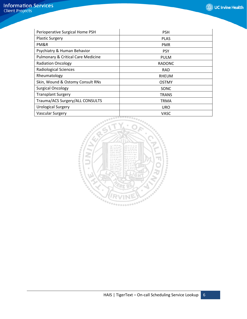| Perioperative Surgical Home PSH               | <b>PSH</b>    |
|-----------------------------------------------|---------------|
| <b>Plastic Surgery</b>                        | <b>PLAS</b>   |
| PM&R                                          | <b>PMR</b>    |
| Psychiatry & Human Behavior                   | <b>PSY</b>    |
| <b>Pulmonary &amp; Critical Care Medicine</b> | <b>PULM</b>   |
| <b>Radiation Oncology</b>                     | <b>RADONC</b> |
| <b>Radiological Sciences</b>                  | <b>RAD</b>    |
| Rheumatology                                  | <b>RHEUM</b>  |
| Skin, Wound & Ostomy Consult RNs              | <b>OSTMY</b>  |
| <b>Surgical Oncology</b>                      | SONC          |
| <b>Transplant Surgery</b>                     | <b>TRANS</b>  |
| Trauma/ACS Surgery/ALL CONSULTS               | TRMA          |
| <b>Urological Surgery</b>                     | <b>URO</b>    |
| <b>Vascular Surgery</b>                       | <b>VASC</b>   |